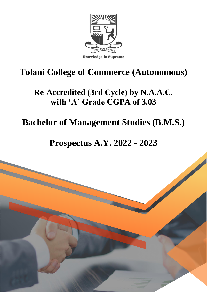

# **Tolani College of Commerce (Autonomous)**

## **Re-Accredited (3rd Cycle) by N.A.A.C. with 'A' Grade CGPA of 3.03**

# **Bachelor of Management Studies (B.M.S.)**

## **Prospectus A.Y. 2022 - 2023**

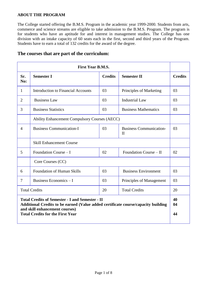#### **ABOUT THE PROGRAM**

The College started offering the B.M.S. Program in the academic year 1999-2000. Students from arts, commerce and science streams are eligible to take admission to the B.M.S. Program. The program is for students who have an aptitude for and interest in management studies. The College has one division with an intake capacity of 60 seats each in the first, second and third years of the Program. Students have to earn a total of 132 credits for the award of the degree.

| <b>First Year B.M.S.</b>                                                                                                                                                                                                 |                                                      |                |                                                |                |
|--------------------------------------------------------------------------------------------------------------------------------------------------------------------------------------------------------------------------|------------------------------------------------------|----------------|------------------------------------------------|----------------|
| Sr.<br>No:                                                                                                                                                                                                               | <b>Semester I</b>                                    | <b>Credits</b> | <b>Semester II</b>                             | <b>Credits</b> |
| 1                                                                                                                                                                                                                        | <b>Introduction to Financial Accounts</b>            | 03             | Principles of Marketing                        | 03             |
| $\overline{2}$                                                                                                                                                                                                           | <b>Business Law</b>                                  | 03             | <b>Industrial Law</b>                          | 03             |
| 3                                                                                                                                                                                                                        | <b>Business Statistics</b>                           | 03             | <b>Business Mathematics</b>                    | 03             |
|                                                                                                                                                                                                                          | <b>Ability Enhancement Compulsory Courses (AECC)</b> |                |                                                |                |
| $\overline{4}$                                                                                                                                                                                                           | <b>Business Communication-I</b>                      | 03             | <b>Business Communication-</b><br>$\mathbf{I}$ | 03             |
|                                                                                                                                                                                                                          | <b>Skill Enhancement Course</b>                      |                |                                                |                |
| 5                                                                                                                                                                                                                        | Foundation Course – I                                | 02             | Foundation Course – II                         | 02             |
|                                                                                                                                                                                                                          | Core Courses (CC)                                    |                |                                                |                |
| 6                                                                                                                                                                                                                        | <b>Foundation of Human Skills</b>                    | 03             | <b>Business Environment</b>                    | 03             |
| $\overline{7}$                                                                                                                                                                                                           | Business Economics - I                               | 03             | Principles of Management                       | 03             |
| <b>Total Credits</b><br><b>Total Credits</b><br>20                                                                                                                                                                       |                                                      |                | 20                                             |                |
| <b>Total Credits of Semester - I and Semester - II</b><br>Additional Credits to be earned (Value added certificate course/capacity building<br>and skill enhancement courses)<br><b>Total Credits for the First Year</b> |                                                      |                |                                                | 40<br>04<br>44 |

#### **The courses that are part of the curriculum:**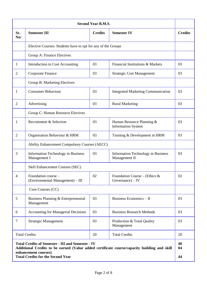| <b>Second Year B.M.S.</b>                                                                                                                                                                                                   |                                                              |                |                                                            |                |
|-----------------------------------------------------------------------------------------------------------------------------------------------------------------------------------------------------------------------------|--------------------------------------------------------------|----------------|------------------------------------------------------------|----------------|
| Sr.<br>No:                                                                                                                                                                                                                  | <b>Semester III</b>                                          | <b>Credits</b> | <b>Semester IV</b>                                         | <b>Credits</b> |
|                                                                                                                                                                                                                             | Elective Courses: Students have to opt for any of the Groups |                |                                                            |                |
|                                                                                                                                                                                                                             | Group A: Finance Electives                                   |                |                                                            |                |
| 1                                                                                                                                                                                                                           | Introduction to Cost Accounting                              | 03             | Financial Institutions & Markets                           | 03             |
| 2                                                                                                                                                                                                                           | Corporate Finance                                            | 03             | <b>Strategic Cost Management</b>                           | 03             |
|                                                                                                                                                                                                                             | Group B: Marketing Electives                                 |                |                                                            |                |
| 1                                                                                                                                                                                                                           | <b>Consumer Behaviour</b>                                    | 03             | <b>Integrated Marketing Communication</b>                  | 03             |
| 2                                                                                                                                                                                                                           | Advertising                                                  | 03             | <b>Rural Marketing</b>                                     | 03             |
|                                                                                                                                                                                                                             | Group C: Human Resource Electives                            |                |                                                            |                |
| 1                                                                                                                                                                                                                           | Recruitment & Selection                                      | 03             | Human Resource Planning &<br><b>Information System</b>     | 03             |
| $\overline{2}$                                                                                                                                                                                                              | Organisation Behaviour & HRM                                 | 03             | Training & Development in HRM                              | 03             |
|                                                                                                                                                                                                                             | Ability Enhancement Compulsory Courses (AECC)                |                |                                                            |                |
| 3                                                                                                                                                                                                                           | <b>Information Technology in Business</b><br>Management I    | 03             | <b>Information Technology in Business</b><br>Management II | 03             |
|                                                                                                                                                                                                                             | Skill Enhancement Courses (SEC)                              |                |                                                            |                |
| $\overline{4}$                                                                                                                                                                                                              | Foundation course -<br>(Environmental Management) - III      | 02             | Foundation Course – (Ethics $\&$<br>Governance) $-$ IV     | 02             |
|                                                                                                                                                                                                                             | Core Courses (CC)                                            |                |                                                            |                |
| 5                                                                                                                                                                                                                           | Business Planning & Entrepreneurial<br>Management            | 03             | Business Economics - II                                    | 03             |
| 6                                                                                                                                                                                                                           | <b>Accounting for Managerial Decisions</b>                   | 03             | <b>Business Research Methods</b>                           | 03             |
| $\tau$                                                                                                                                                                                                                      | <b>Strategic Management</b>                                  | 03             | Production & Total Quality<br>Management                   | 03             |
|                                                                                                                                                                                                                             | <b>Total Credits</b><br><b>Total Credits</b><br>20           |                |                                                            | 20             |
| <b>Total Credits of Semester - III and Semester - IV</b><br>Additional Credits to be earned (Value added certificate course/capacity building and skill<br>enhancement courses)<br><b>Total Credits for the Second Year</b> |                                                              |                |                                                            | 40<br>04<br>44 |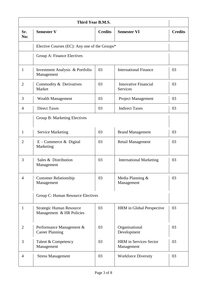| Third Year B.M.S. |                                                             |                |                                             |                |
|-------------------|-------------------------------------------------------------|----------------|---------------------------------------------|----------------|
| Sr.<br>No:        | <b>Semester V</b>                                           | <b>Credits</b> | <b>Semester VI</b>                          | <b>Credits</b> |
|                   | Elective Courses (EC): Any one of the Groups*               |                |                                             |                |
|                   | Group A: Finance Electives                                  |                |                                             |                |
| 1                 | Investment Analysis & Portfolio<br>Management               | 03             | <b>International Finance</b>                | 03             |
| $\overline{2}$    | Commodity & Derivatives<br>Market                           | 03             | <b>Innovative Financial</b><br>Services     | 03             |
| 3                 | <b>Wealth Management</b>                                    | 03             | Project Management                          | 03             |
| 4                 | <b>Direct Taxes</b>                                         | 03             | <b>Indirect Taxes</b>                       | 03             |
|                   | <b>Group B: Marketing Electives</b>                         |                |                                             |                |
| 1                 | <b>Service Marketing</b>                                    | 03             | <b>Brand Management</b>                     | 03             |
| $\overline{2}$    | $E$ – Commerce & Digital<br>Marketing                       | 03             | <b>Retail Management</b>                    | 03             |
| 3                 | Sales & Distribution<br>Management                          | 03             | <b>International Marketing</b>              | 03             |
| 4                 | <b>Customer Relationship</b><br>Management                  | 03             | Media Planning &<br>Management              | 03             |
|                   | Group C: Human Resource Electives                           |                |                                             |                |
| 1                 | <b>Strategic Human Resource</b><br>Management & HR Policies | 03             | HRM in Global Perspective                   | 03             |
| $\overline{2}$    | Performance Management &<br><b>Career Planning</b>          | 03             | Organisational<br>Development               | 03             |
| 3                 | Talent & Competency<br>Management                           | 03             | <b>HRM</b> in Services Sector<br>Management | 03             |
| 4                 | <b>Stress Management</b>                                    | 03             | <b>Workforce Diversity</b>                  | 03             |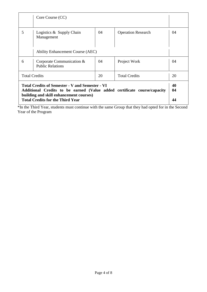|                                                                                                                                                                                                                          | Core Course (CC)                                     |    |                           |    |
|--------------------------------------------------------------------------------------------------------------------------------------------------------------------------------------------------------------------------|------------------------------------------------------|----|---------------------------|----|
| 5                                                                                                                                                                                                                        | Logistics & Supply Chain<br>Management               | 04 | <b>Operation Research</b> | 04 |
|                                                                                                                                                                                                                          | <b>Ability Enhancement Course (AEC)</b>              |    |                           |    |
| 6                                                                                                                                                                                                                        | Corporate Communication &<br><b>Public Relations</b> | 04 | Project Work              | 04 |
| <b>Total Credits</b><br><b>Total Credits</b><br>20                                                                                                                                                                       |                                                      |    | 20                        |    |
| <b>Total Credits of Semester - V and Semester - VI</b><br>Additional Credits to be earned (Value added certificate course/capacity<br>building and skill enhancement courses)<br><b>Total Credits for the Third Year</b> |                                                      |    | 40<br>04<br>44            |    |

\*In the Third Year, students must continue with the same Group that they had opted for in the Second Year of the Program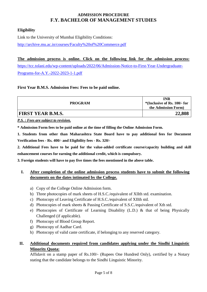## **ADMISSION PROCEDURE F.Y. BACHELOR OF MANAGEMENT STUDIES**

### **Eligibility**

Link to the University of Mumbai Eligibility Conditions: <http://archive.mu.ac.in/courses/Faculty%20of%20Commerce.pdf>

#### **The admission process is online. Click on the following link for the admission process:**

[https://tcc.tolani.edu/wp-content/uploads/2022/06/Admission-Notice-to-First-Year-Undergraduate-](https://tcc.tolani.edu/wp-content/uploads/2022/06/Admission-Notice-to-First-Year-Undergraduate-Programs-for-A.Y.-2022-2023-1-1.pdf)[Programs-for-A.Y.-2022-2023-1-1.pdf](https://tcc.tolani.edu/wp-content/uploads/2022/06/Admission-Notice-to-First-Year-Undergraduate-Programs-for-A.Y.-2022-2023-1-1.pdf)

#### **First Year B.M.S. Admission Fees: Fees to be paid online.**

| <b>PROGRAM</b>           | INR<br>$*($ Inclusive of Rs. 100/- for<br>the Admission Form) |
|--------------------------|---------------------------------------------------------------|
| <b>FIRST YEAR B.M.S.</b> | 22,808                                                        |

*P.S. : Fees are subject to revision.*

**\* Admission Form fees to be paid online at the time of filling the Online Admission Form.**

**1. Students from other than Maharashtra State Board have to pay additional fees for Document Verification fees - Rs. 400/- and Eligibility fees - Rs. 320/-**

**2. Additional Fees have to be paid for the value-added certificate course/capacity building and skill enhancement courses for earning the additional credit, which is compulsory.**

**3. Foreign students will have to pay five times the fees mentioned in the above table.**

### **I. After completion of the online admission process students have to submit the following documents on the dates intimated by the College.**

- a) Copy of the College Online Admission form.
- b) Three photocopies of mark sheets of H.S.C./equivalent of XIIth std. examination.
- c) Photocopy of Leaving Certificate of H.S.C./equivalent of XIIth std.
- d) Photocopies of mark sheets & Passing Certificate of S.S.C./equivalent of Xth std.
- e) Photocopies of Certificate of Learning Disability (L.D.) & that of being Physically Challenged (if applicable).
- f) Photocopy of Blood Group Report.
- g) Photocopy of Aadhar Card.
- h) Photocopy of valid caste certificate, if belonging to any reserved category.

### **II. Additional documents required from candidates applying under the Sindhi Linguistic Minority Quota:**

Affidavit on a stamp paper of Rs.100/- (Rupees One Hundred Only), certified by a Notary stating that the candidate belongs to the Sindhi Linguistic Minority.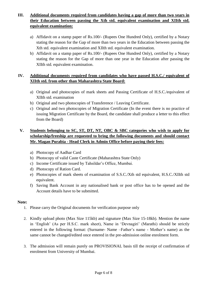## **III. Additional documents required from candidates having a gap of more than two years in their Education between passing the Xth std. equivalent examination and XIIth std. equivalent examination:**

- a) Affidavit on a stamp paper of Rs.100/- (Rupees One Hundred Only), certified by a Notary stating the reason for the Gap of more than two years in the Education between passing the Xth std. equivalent examination and XIIth std. equivalent examination.
- b) Affidavit on a stamp paper of Rs.100/- (Rupees One Hundred Only), certified by a Notary stating the reason for the Gap of more than one year in the Education after passing the XIIth std. equivalent examination.

### **IV. Additional documents required from candidates who have passed H.S.C./ equivalent of XIIth std. from other than Maharashtra State Board:**

- a) Original and photocopies of mark sheets and Passing Certificate of H.S.C./equivalent of XIIth std. examination
- b) Original and two photocopies of Transference / Leaving Certificate.
- c) Original and two photocopies of Migration Certificate (In the event there is no practice of issuing Migration Certificate by the Board, the candidate shall produce a letter to this effect from the Board)

## **V. Students belonging to SC, ST, DT, NT, OBC & SBC categories who wish to apply for scholarship/freeship are requested to bring the following documents and should contact Mr. Magan Purabia - Head Clerk in Admin Office before paying their fees:**

- a) Photocopy of Aadhar Card
- b) Photocopy of valid Caste Certificate (Maharashtra State Only)
- c) Income Certificate issued by Tahsildar's Office, Mumbai.
- d) Photocopy of Ration Card.
- e) Photocopies of mark sheets of examination of S.S.C./Xth std equivalent, H.S.C./XIIth std equivalent.
- f) Saving Bank Account in any nationalised bank or post office has to be opened and the Account details have to be submitted.

#### **Note:**

- 1. Please carry the Original documents for verification purpose only
- 2. Kindly upload photo (Max Size 115kb) and signature (Max Size 15-18kb). Mention the name in 'English' (As per H.S.C. mark sheet), Name in 'Devnagiri' (Marathi) should be strictly entered in the following format: (Surname- Name –Father's name - Mother's name) as the same cannot be changed/edited once entered in the pre-admission online enrolment form.
- 3. The admission will remain purely on PROVISIONAL basis till the receipt of confirmation of enrolment from University of Mumbai.